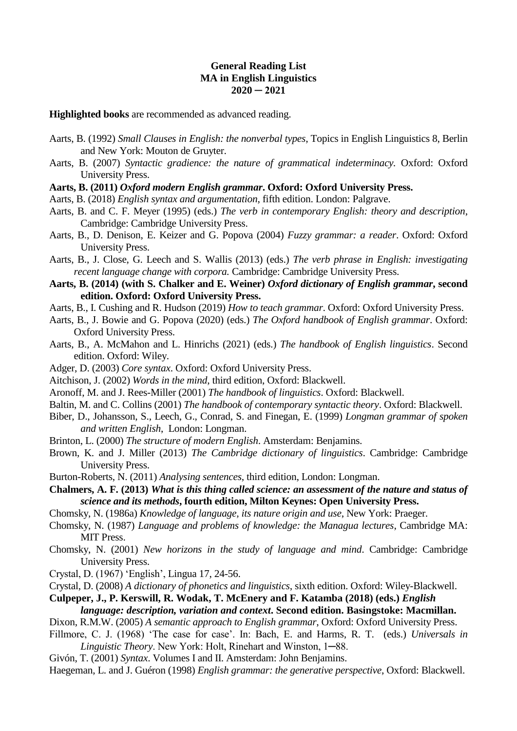## **General Reading List MA in English Linguistics 2020 ─ 2021**

## **Highlighted books** are recommended as advanced reading.

- Aarts, B. (1992) *Small Clauses in English: the nonverbal types*, Topics in English Linguistics 8, Berlin and New York: Mouton de Gruyter.
- Aarts, B. (2007) *Syntactic gradience: the nature of grammatical indeterminacy.* Oxford: Oxford University Press.

## **Aarts, B. (2011)** *Oxford modern English grammar***. Oxford: Oxford University Press.**

- Aarts, B. (2018) *English syntax and argumentation*, fifth edition. London: Palgrave.
- Aarts, B. and C. F. Meyer (1995) (eds.) *The verb in contemporary English: theory and description*, Cambridge: Cambridge University Press.
- Aarts, B., D. Denison, E. Keizer and G. Popova (2004) *Fuzzy grammar: a reader*. Oxford: Oxford University Press.
- Aarts, B., J. Close, G. Leech and S. Wallis (2013) (eds.) *The verb phrase in English: investigating recent language change with corpora.* Cambridge: Cambridge University Press.
- **Aarts, B. (2014) (with S. Chalker and E. Weiner)** *Oxford dictionary of English grammar***, second edition. Oxford: Oxford University Press.**
- Aarts, B., I. Cushing and R. Hudson (2019) *How to teach grammar*. Oxford: Oxford University Press.
- Aarts, B., J. Bowie and G. Popova (2020) (eds.) *The Oxford handbook of English grammar*. Oxford: Oxford University Press.
- Aarts, B., A. McMahon and L. Hinrichs (2021) (eds.) *The handbook of English linguistics*. Second edition. Oxford: Wiley.
- Adger, D. (2003) *Core syntax*. Oxford: Oxford University Press.
- Aitchison, J. (2002) *Words in the mind*, third edition, Oxford: Blackwell.
- Aronoff, M. and J. Rees-Miller (2001) *The handbook of linguistics*. Oxford: Blackwell.
- Baltin, M. and C. Collins (2001) *The handbook of contemporary syntactic theory*. Oxford: Blackwell.
- Biber, D., Johansson, S., Leech, G., Conrad, S. and Finegan, E. (1999) *Longman grammar of spoken and written English*, London: Longman.
- Brinton, L. (2000) *The structure of modern English*. Amsterdam: Benjamins.
- Brown, K. and J. Miller (2013) *The Cambridge dictionary of linguistics*. Cambridge: Cambridge University Press.
- Burton-Roberts, N. (2011) *Analysing sentences*, third edition, London: Longman.
- **Chalmers, A. F. (2013)** *What is this thing called science: an assessment of the nature and status of science and its methods***, fourth edition, Milton Keynes: Open University Press.**
- Chomsky, N. (1986a) *Knowledge of language, its nature origin and use*, New York: Praeger.
- Chomsky, N. (1987) *Language and problems of knowledge: the Managua lectures*, Cambridge MA: MIT Press.
- Chomsky, N. (2001) *New horizons in the study of language and mind*. Cambridge: Cambridge University Press.
- Crystal, D. (1967) 'English', Lingua 17, 24-56.
- Crystal, D. (2008) *A dictionary of phonetics and linguistics*, sixth edition. Oxford: Wiley-Blackwell.

**Culpeper, J., P. Kerswill, R. Wodak, T. McEnery and F. Katamba (2018) (eds.)** *English language: description, variation and context***. Second edition. Basingstoke: Macmillan.**

- Dixon, R.M.W. (2005) *A semantic approach to English grammar*, Oxford: Oxford University Press.
- Fillmore, C. J. (1968) 'The case for case'. In: Bach, E. and Harms, R. T. (eds.) *Universals in Linguistic Theory*. New York: Holt, Rinehart and Winston, 1─88.
- Givón, T. (2001) *Syntax*. Volumes I and II. Amsterdam: John Benjamins.
- Haegeman, L. and J. Guéron (1998) *English grammar: the generative perspective*, Oxford: Blackwell.